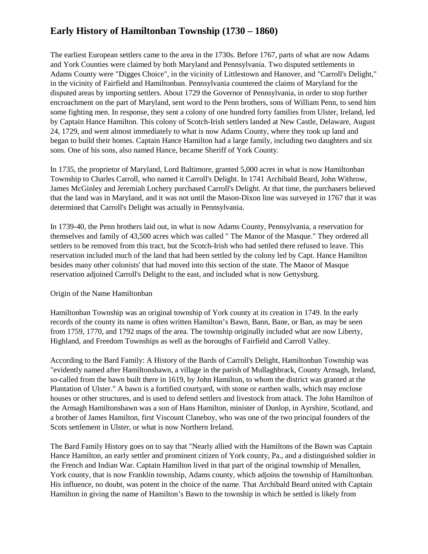# **Early History of Hamiltonban Township (1730 – 1860)**

The earliest European settlers came to the area in the 1730s. Before 1767, parts of what are now Adams and York Counties were claimed by both Maryland and Pennsylvania. Two disputed settlements in Adams County were "Digges Choice", in the vicinity of Littlestown and Hanover, and "Carroll's Delight," in the vicinity of Fairfield and Hamiltonban. Pennsylvania countered the claims of Maryland for the disputed areas by importing settlers. About 1729 the Governor of Pennsylvania, in order to stop further encroachment on the part of Maryland, sent word to the Penn brothers, sons of William Penn, to send him some fighting men. In response, they sent a colony of one hundred forty families from Ulster, Ireland, led by Captain Hance Hamilton. This colony of Scotch-Irish settlers landed at New Castle, Delaware, August 24, 1729, and went almost immediately to what is now Adams County, where they took up land and began to build their homes. Captain Hance Hamilton had a large family, including two daughters and six sons. One of his sons, also named Hance, became Sheriff of York County.

In 1735, the proprietor of Maryland, Lord Baltimore, granted 5,000 acres in what is now Hamiltonban Township to Charles Carroll, who named it Carroll's Delight. In 1741 Archibald Beard, John Withrow, James McGinley and Jeremiah Lochery purchased Carroll's Delight. At that time, the purchasers believed that the land was in Maryland, and it was not until the Mason-Dixon line was surveyed in 1767 that it was determined that Carroll's Delight was actually in Pennsylvania.

In 1739-40, the Penn brothers laid out, in what is now Adams County, Pennsylvania, a reservation for themselves and family of 43,500 acres which was called " The Manor of the Masque." They ordered all settlers to be removed from this tract, but the Scotch-Irish who had settled there refused to leave. This reservation included much of the land that had been settled by the colony led by Capt. Hance Hamilton besides many other colonists' that had moved into this section of the state. The Manor of Masque reservation adjoined Carroll's Delight to the east, and included what is now Gettysburg.

## Origin of the Name Hamiltonban

Hamiltonban Township was an original township of York county at its creation in 1749. In the early records of the county its name is often written Hamilton's Bawn, Bann, Bane, or Ban, as may be seen from 1759, 1770, and 1792 maps of the area. The township originally included what are now Liberty, Highland, and Freedom Townships as well as the boroughs of Fairfield and Carroll Valley.

According to the Bard Family: A History of the Bards of Carroll's Delight, Hamiltonban Township was "evidently named after Hamiltonsbawn, a village in the parish of Mullaghbrack, County Armagh, Ireland, so-called from the bawn built there in 1619, by John Hamilton, to whom the district was granted at the Plantation of Ulster." A bawn is a fortified courtyard, with stone or earthen walls, which may enclose houses or other structures, and is used to defend settlers and livestock from attack. The John Hamilton of the Armagh Hamiltonsbawn was a son of Hans Hamilton, minister of Dunlop, in Ayrshire, Scotland, and a brother of James Hamilton, first Viscount Claneboy, who was one of the two principal founders of the Scots settlement in Ulster, or what is now Northern Ireland.

The Bard Family History goes on to say that "Nearly allied with the Hamiltons of the Bawn was Captain Hance Hamilton, an early settler and prominent citizen of York county, Pa., and a distinguished soldier in the French and Indian War. Captain Hamilton lived in that part of the original township of Menallen, York county, that is now Franklin township, Adams county, which adjoins the township of Hamiltonban. His influence, no doubt, was potent in the choice of the name. That Archibald Beard united with Captain Hamilton in giving the name of Hamilton's Bawn to the township in which he settled is likely from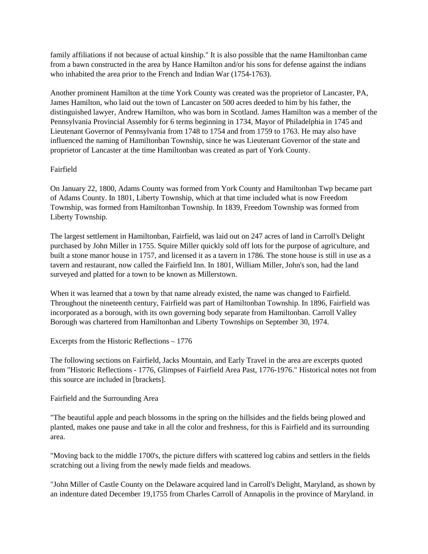family affiliations if not because of actual kinship." It is also possible that the name Hamiltonban came from a bawn constructed in the area by Hance Hamilton and/or his sons for defense against the indians who inhabited the area prior to the French and Indian War (1754-1763).

Another prominent Hamilton at the time York County was created was the proprietor of Lancaster, PA, James Hamilton, who laid out the town of Lancaster on 500 acres deeded to him by his father, the distinguished lawyer, Andrew Hamilton, who was born in Scotland. James Hamilton was a member of the Pennsylvania Provincial Assembly for 6 terms beginning in 1734, Mayor of Philadelphia in 1745 and Lieutenant Governor of Pennsylvania from 1748 to 1754 and from 1759 to 1763. He may also have influenced the naming of Hamiltonban Township, since he was Lieutenant Governor of the state and proprietor of Lancaster at the time Hamiltonban was created as part of York County.

### Fairfield

On January 22, 1800, Adams County was formed from York County and Hamiltonban Twp became part of Adams County. In 1801, Liberty Township, which at that time included what is now Freedom Township, was formed from Hamiltonban Township. In 1839, Freedom Township was formed from Liberty Township.

The largest settlement in Hamiltonban, Fairfield, was laid out on 247 acres of land in Carroll's Delight purchased by John Miller in 1755. Squire Miller quickly sold off lots for the purpose of agriculture, and built a stone manor house in 1757, and licensed it as a tavern in 1786. The stone house is still in use as a tavern and restaurant, now called the Fairfield Inn. In 1801, William Miller, John's son, had the land surveyed and platted for a town to be known as Millerstown.

When it was learned that a town by that name already existed, the name was changed to Fairfield. Throughout the nineteenth century, Fairfield was part of Hamiltonban Township. In 1896, Fairfield was incorporated as a borough, with its own governing body separate from Hamiltonban. Carroll Valley Borough was chartered from Hamiltonban and Liberty Townships on September 30, 1974.

Excerpts from the Historic Reflections – 1776

The following sections on Fairfield, Jacks Mountain, and Early Travel in the area are excerpts quoted from "Historic Reflections - 1776, Glimpses of Fairfield Area Past, 1776-1976." Historical notes not from this source are included in [brackets].

## Fairfield and the Surrounding Area

"The beautiful apple and peach blossoms in the spring on the hillsides and the fields being plowed and planted, makes one pause and take in all the color and freshness, for this is Fairfield and its surrounding area.

"Moving back to the middle 1700's, the picture differs with scattered log cabins and settlers in the fields scratching out a living from the newly made fields and meadows.

"John Miller of Castle County on the Delaware acquired land in Carroll's Delight, Maryland, as shown by an indenture dated December 19,1755 from Charles Carroll of Annapolis in the province of Maryland. in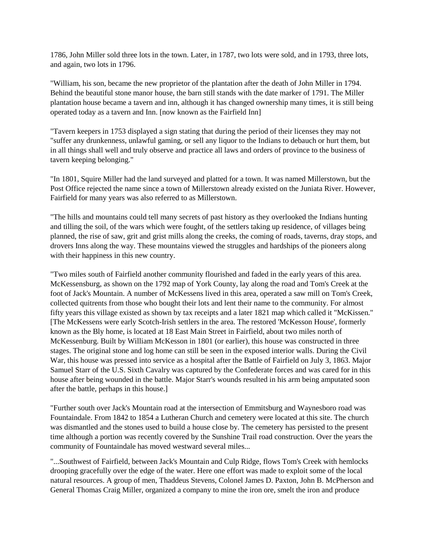1786, John Miller sold three lots in the town. Later, in 1787, two lots were sold, and in 1793, three lots, and again, two lots in 1796.

"William, his son, became the new proprietor of the plantation after the death of John Miller in 1794. Behind the beautiful stone manor house, the barn still stands with the date marker of 1791. The Miller plantation house became a tavern and inn, although it has changed ownership many times, it is still being operated today as a tavern and Inn. [now known as the Fairfield Inn]

"Tavern keepers in 1753 displayed a sign stating that during the period of their licenses they may not "suffer any drunkenness, unlawful gaming, or sell any liquor to the Indians to debauch or hurt them, but in all things shall well and truly observe and practice all laws and orders of province to the business of tavern keeping belonging."

"In 1801, Squire Miller had the land surveyed and platted for a town. It was named Millerstown, but the Post Office rejected the name since a town of Millerstown already existed on the Juniata River. However, Fairfield for many years was also referred to as Millerstown.

"The hills and mountains could tell many secrets of past history as they overlooked the Indians hunting and tilling the soil, of the wars which were fought, of the settlers taking up residence, of villages being planned, the rise of saw, grit and grist mills along the creeks, the coming of roads, taverns, dray stops, and drovers Inns along the way. These mountains viewed the struggles and hardships of the pioneers along with their happiness in this new country.

"Two miles south of Fairfield another community flourished and faded in the early years of this area. McKessensburg, as shown on the 1792 map of York County, lay along the road and Tom's Creek at the foot of Jack's Mountain. A number of McKessens lived in this area, operated a saw mill on Tom's Creek, collected quitrents from those who bought their lots and lent their name to the community. For almost fifty years this village existed as shown by tax receipts and a later 1821 map which called it "McKissen." [The McKessens were early Scotch-Irish settlers in the area. The restored 'McKesson House', formerly known as the Bly home, is located at 18 East Main Street in Fairfield, about two miles north of McKessenburg. Built by William McKesson in 1801 (or earlier), this house was constructed in three stages. The original stone and log home can still be seen in the exposed interior walls. During the Civil War, this house was pressed into service as a hospital after the Battle of Fairfield on July 3, 1863. Major Samuel Starr of the U.S. Sixth Cavalry was captured by the Confederate forces and was cared for in this house after being wounded in the battle. Major Starr's wounds resulted in his arm being amputated soon after the battle, perhaps in this house.]

"Further south over Jack's Mountain road at the intersection of Emmitsburg and Waynesboro road was Fountaindale. From 1842 to 1854 a Lutheran Church and cemetery were located at this site. The church was dismantled and the stones used to build a house close by. The cemetery has persisted to the present time although a portion was recently covered by the Sunshine Trail road construction. Over the years the community of Fountaindale has moved westward several miles...

"...Southwest of Fairfield, between Jack's Mountain and Culp Ridge, flows Tom's Creek with hemlocks drooping gracefully over the edge of the water. Here one effort was made to exploit some of the local natural resources. A group of men, Thaddeus Stevens, Colonel James D. Paxton, John B. McPherson and General Thomas Craig Miller, organized a company to mine the iron ore, smelt the iron and produce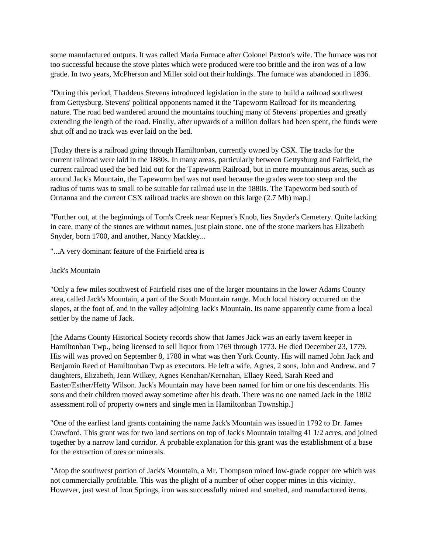some manufactured outputs. It was called Maria Furnace after Colonel Paxton's wife. The furnace was not too successful because the stove plates which were produced were too brittle and the iron was of a low grade. In two years, McPherson and Miller sold out their holdings. The furnace was abandoned in 1836.

"During this period, Thaddeus Stevens introduced legislation in the state to build a railroad southwest from Gettysburg. Stevens' political opponents named it the 'Tapeworm Railroad' for its meandering nature. The road bed wandered around the mountains touching many of Stevens' properties and greatly extending the length of the road. Finally, after upwards of a million dollars had been spent, the funds were shut off and no track was ever laid on the bed.

[Today there is a railroad going through Hamiltonban, currently owned by CSX. The tracks for the current railroad were laid in the 1880s. In many areas, particularly between Gettysburg and Fairfield, the current railroad used the bed laid out for the Tapeworm Railroad, but in more mountainous areas, such as around Jack's Mountain, the Tapeworm bed was not used because the grades were too steep and the radius of turns was to small to be suitable for railroad use in the 1880s. The Tapeworm bed south of Orrtanna and the current CSX railroad tracks are shown on this large (2.7 Mb) map.]

"Further out, at the beginnings of Tom's Creek near Kepner's Knob, lies Snyder's Cemetery. Quite lacking in care, many of the stones are without names, just plain stone. one of the stone markers has Elizabeth Snyder, born 1700, and another, Nancy Mackley...

"...A very dominant feature of the Fairfield area is

#### Jack's Mountain

"Only a few miles southwest of Fairfield rises one of the larger mountains in the lower Adams County area, called Jack's Mountain, a part of the South Mountain range. Much local history occurred on the slopes, at the foot of, and in the valley adjoining Jack's Mountain. Its name apparently came from a local settler by the name of Jack.

[the Adams County Historical Society records show that James Jack was an early tavern keeper in Hamiltonban Twp., being licensed to sell liquor from 1769 through 1773. He died December 23, 1779. His will was proved on September 8, 1780 in what was then York County. His will named John Jack and Benjamin Reed of Hamiltonban Twp as executors. He left a wife, Agnes, 2 sons, John and Andrew, and 7 daughters, Elizabeth, Jean Wilkey, Agnes Kenahan/Kernahan, Ellaey Reed, Sarah Reed and Easter/Esther/Hetty Wilson. Jack's Mountain may have been named for him or one his descendants. His sons and their children moved away sometime after his death. There was no one named Jack in the 1802 assessment roll of property owners and single men in Hamiltonban Township.]

"One of the earliest land grants containing the name Jack's Mountain was issued in 1792 to Dr. James Crawford. This grant was for two land sections on top of Jack's Mountain totaling 41 1/2 acres, and joined together by a narrow land corridor. A probable explanation for this grant was the establishment of a base for the extraction of ores or minerals.

"Atop the southwest portion of Jack's Mountain, a Mr. Thompson mined low-grade copper ore which was not commercially profitable. This was the plight of a number of other copper mines in this vicinity. However, just west of Iron Springs, iron was successfully mined and smelted, and manufactured items,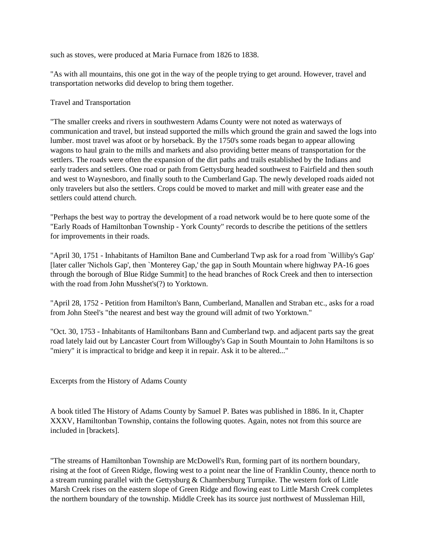such as stoves, were produced at Maria Furnace from 1826 to 1838.

"As with all mountains, this one got in the way of the people trying to get around. However, travel and transportation networks did develop to bring them together.

Travel and Transportation

"The smaller creeks and rivers in southwestern Adams County were not noted as waterways of communication and travel, but instead supported the mills which ground the grain and sawed the logs into lumber. most travel was afoot or by horseback. By the 1750's some roads began to appear allowing wagons to haul grain to the mills and markets and also providing better means of transportation for the settlers. The roads were often the expansion of the dirt paths and trails established by the Indians and early traders and settlers. One road or path from Gettysburg headed southwest to Fairfield and then south and west to Waynesboro, and finally south to the Cumberland Gap. The newly developed roads aided not only travelers but also the settlers. Crops could be moved to market and mill with greater ease and the settlers could attend church.

"Perhaps the best way to portray the development of a road network would be to here quote some of the "Early Roads of Hamiltonban Township - York County" records to describe the petitions of the settlers for improvements in their roads.

"April 30, 1751 - Inhabitants of Hamilton Bane and Cumberland Twp ask for a road from `Williby's Gap' [later caller 'Nichols Gap', then `Monterey Gap,' the gap in South Mountain where highway PA-16 goes through the borough of Blue Ridge Summit] to the head branches of Rock Creek and then to intersection with the road from John Musshet's(?) to Yorktown.

"April 28, 1752 - Petition from Hamilton's Bann, Cumberland, Manallen and Straban etc., asks for a road from John Steel's "the nearest and best way the ground will admit of two Yorktown."

"Oct. 30, 1753 - Inhabitants of Hamiltonbans Bann and Cumberland twp. and adjacent parts say the great road lately laid out by Lancaster Court from Willougby's Gap in South Mountain to John Hamiltons is so "miery" it is impractical to bridge and keep it in repair. Ask it to be altered..."

Excerpts from the History of Adams County

A book titled The History of Adams County by Samuel P. Bates was published in 1886. In it, Chapter XXXV, Hamiltonban Township, contains the following quotes. Again, notes not from this source are included in [brackets].

"The streams of Hamiltonban Township are McDowell's Run, forming part of its northern boundary, rising at the foot of Green Ridge, flowing west to a point near the line of Franklin County, thence north to a stream running parallel with the Gettysburg & Chambersburg Turnpike. The western fork of Little Marsh Creek rises on the eastern slope of Green Ridge and flowing east to Little Marsh Creek completes the northern boundary of the township. Middle Creek has its source just northwest of Mussleman Hill,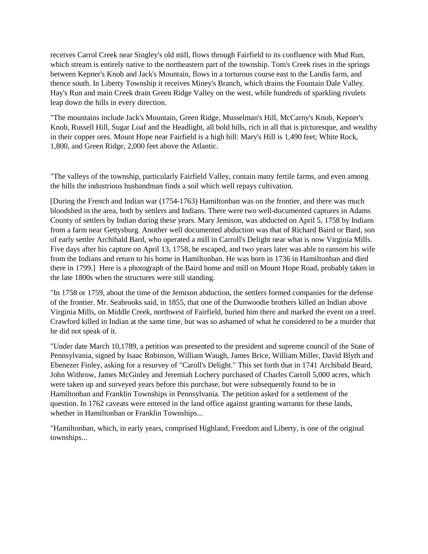receives Carrol Creek near Singley's old mill, flows through Fairfield to its confluence with Mud Run, which stream is entirely native to the northeastern part of the township. Tom's Creek rises in the springs between Kepner's Knob and Jack's Mountain, flows in a torturous course east to the Landis farm, and thence south. In Liberty Township it receives Miney's Branch, which drains the Fountain Dale Valley. Hay's Run and main Creek drain Green Ridge Valley on the west, while hundreds of sparkling rivulets leap down the hills in every direction.

"The mountains include Jack's Mountain, Green Ridge, Musselman's Hill, McCarny's Knob, Kepner's Knob, Russell Hill, Sugar Loaf and the Headlight, all bold hills, rich in all that is picturesque, and wealthy in their copper ores. Mount Hope near Fairfield is a high hill: Mary's Hill is 1,490 feet; White Rock, 1,800, and Green Ridge, 2,000 feet above the Atlantic.

"The valleys of the township, particularly Fairfield Valley, contain many fertile farms, and even among the hills the industrious husbandman finds a soil which well repays cultivation.

[During the French and Indian war (1754-1763) Hamiltonban was on the frontier, and there was much bloodshed in the area, both by settlers and Indians. There were two well-documented captures in Adams County of settlers by Indian during these years. Mary Jemison, was abducted on April 5, 1758 by Indians from a farm near Gettysburg. Another well documented abduction was that of Richard Baird or Bard, son of early settler Archibald Bard, who operated a mill in Carroll's Delight near what is now Virginia Mills. Five days after his capture on April 13, 1758, he escaped, and two years later was able to ransom his wife from the Indians and return to his home in Hamiltonban. He was born in 1736 in Hamiltonban and died there in 1799.] Here is a photograph of the Baird home and mill on Mount Hope Road, probably taken in the late 1800s when the structures were still standing.

"In 1758 or 1759, about the time of the Jemison abduction, the settlers formed companies for the defense of the frontier. Mr. Seabrooks said, in 1855, that one of the Dunwoodie brothers killed an Indian above Virginia Mills, on Middle Creek, northwest of Fairfield, buried him there and marked the event on a treel. Crawford killed in Indian at the same time, but was so ashamed of what he considered to be a murder that he did not speak of it.

"Under date March 10,1789, a petition was presented to the president and supreme council of the State of Pennsylvania, signed by Isaac Robinson, William Waugh, James Brice, William Miller, David Blyth and Ebenezer Finley, asking for a resurvey of "Caroll's Delight." This set forth that in 1741 Archibald Beard, John Withrow, James McGinley and Jeremiah Lochery purchased of Charles Carroll 5,000 acres, which were taken up and surveyed years before this purchase, but were subsequently found to be in Hamiltonban and Franklin Townships in Pennsylvania. The petition asked for a settlement of the question. In 1762 caveats were entered in the land office against granting warrants for these lands, whether in Hamiltonban or Franklin Townships...

"Hamiltonban, which, in early years, comprised Highland, Freedom and Liberty, is one of the original townships...